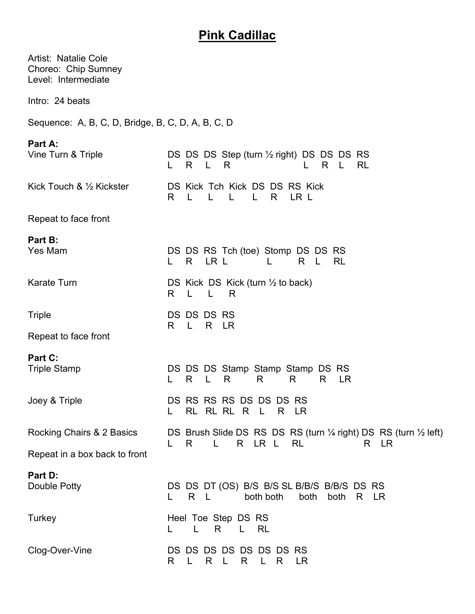## **Pink Cadillac**

| <b>Artist: Natalie Cole</b><br>Choreo: Chip Sumney<br>Level: Intermediate |                                                                                                                 |
|---------------------------------------------------------------------------|-----------------------------------------------------------------------------------------------------------------|
| Intro: 24 beats                                                           |                                                                                                                 |
| Sequence: A, B, C, D, Bridge, B, C, D, A, B, C, D                         |                                                                                                                 |
| Part A:<br>Vine Turn & Triple                                             | DS DS DS Step (turn 1/2 right) DS DS DS RS<br>R L<br>R.<br>R<br>- L<br>RL<br>L.                                 |
| Kick Touch & 1/2 Kickster                                                 | DS Kick Tch Kick DS DS RS Kick<br>LR L<br>L<br>$\mathsf{L}$<br>$\mathsf{L}$<br>$\mathsf{L}$<br>R<br>R.          |
| Repeat to face front                                                      |                                                                                                                 |
| Part B:<br>Yes Mam                                                        | DS DS RS Tch (toe) Stomp DS DS RS<br>R LR L<br><b>RL</b><br>R L<br>L                                            |
| <b>Karate Turn</b>                                                        | DS Kick DS Kick (turn $\frac{1}{2}$ to back)<br>R.<br>R                                                         |
| <b>Triple</b>                                                             | DS DS DS RS<br>L R LR<br>R                                                                                      |
| Repeat to face front                                                      |                                                                                                                 |
| Part C:<br><b>Triple Stamp</b>                                            | DS DS DS Stamp Stamp Stamp DS RS<br>R<br>$\mathsf{L}$<br>R<br>R<br>R.<br><b>LR</b><br>R                         |
| Joey & Triple                                                             | DS RS RS RS DS DS DS RS<br>RL RL RL R L<br>R LR                                                                 |
| Rocking Chairs & 2 Basics                                                 | DS Brush Slide DS RS DS RS (turn 1/4 right) DS RS (turn 1/2 left)<br>$\mathsf{L}$<br>R LR L<br>RL<br>R LR<br>R. |
| Repeat in a box back to front                                             |                                                                                                                 |
| Part D:<br>Double Potty                                                   | DS DS DT (OS) B/S B/S SL B/B/S B/B/S DS RS<br>both<br>both both<br>both<br>R L<br>R LR                          |
| Turkey                                                                    | Heel Toe Step DS RS<br>L R<br>L RL                                                                              |
| Clog-Over-Vine                                                            | DS DS DS DS DS DS DS RS<br>R<br>R.<br>R L<br>R<br>LR.<br>L,<br>L.                                               |